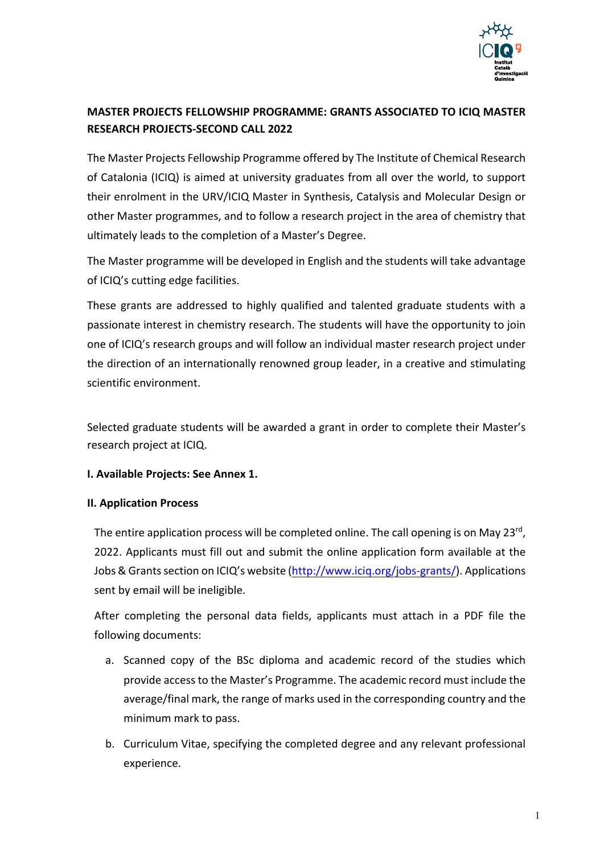

# **MASTER PROJECTS FELLOWSHIP PROGRAMME: GRANTS ASSOCIATED TO ICIQ MASTER RESEARCH PROJECTS-SECOND CALL 2022**

The Master Projects Fellowship Programme offered by The Institute of Chemical Research of Catalonia (ICIQ) is aimed at university graduates from all over the world, to support their enrolment in the URV/ICIQ Master in Synthesis, Catalysis and Molecular Design or other Master programmes, and to follow a research project in the area of chemistry that ultimately leads to the completion of a Master's Degree.

The Master programme will be developed in English and the students will take advantage of ICIQ's cutting edge facilities.

These grants are addressed to highly qualified and talented graduate students with a passionate interest in chemistry research. The students will have the opportunity to join one of ICIQ's research groups and will follow an individual master research project under the direction of an internationally renowned group leader, in a creative and stimulating scientific environment.

Selected graduate students will be awarded a grant in order to complete their Master's research project at ICIQ.

# **I. Available Projects: See Annex 1.**

# **II. Application Process**

The entire application process will be completed online. The call opening is on May 23<sup>rd</sup>, 2022. Applicants must fill out and submit the online application form available at the Jobs & Grants section on ICIQ's website (http://www.iciq.org/jobs-grants/). Applications sent by email will be ineligible.

After completing the personal data fields, applicants must attach in a PDF file the following documents:

- a. Scanned copy of the BSc diploma and academic record of the studies which provide access to the Master's Programme. The academic record must include the average/final mark, the range of marks used in the corresponding country and the minimum mark to pass.
- b. Curriculum Vitae, specifying the completed degree and any relevant professional experience.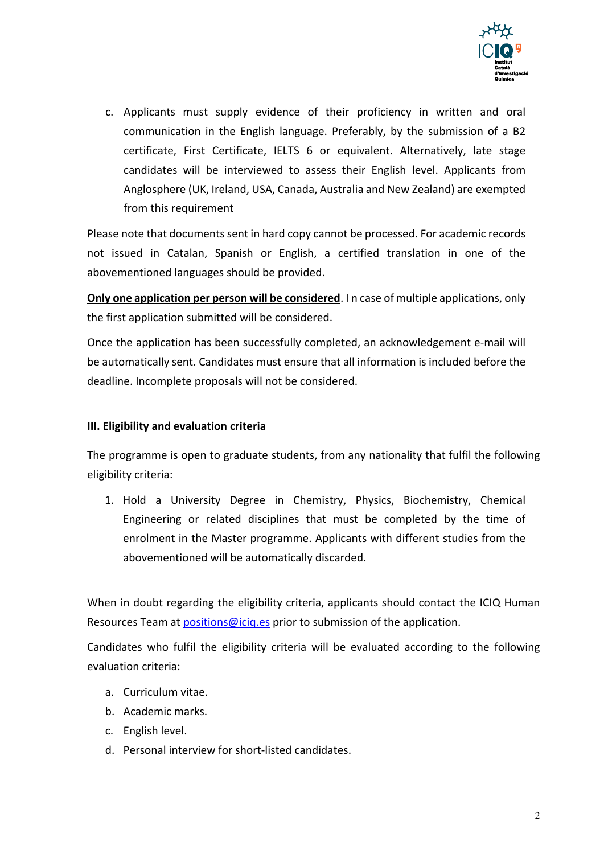

c. Applicants must supply evidence of their proficiency in written and oral communication in the English language. Preferably, by the submission of a B2 certificate, First Certificate, IELTS 6 or equivalent. Alternatively, late stage candidates will be interviewed to assess their English level. Applicants from Anglosphere (UK, Ireland, USA, Canada, Australia and New Zealand) are exempted from this requirement

Please note that documents sent in hard copy cannot be processed. For academic records not issued in Catalan, Spanish or English, a certified translation in one of the abovementioned languages should be provided.

**Only one application per person will be considered**. I n case of multiple applications, only the first application submitted will be considered.

Once the application has been successfully completed, an acknowledgement e-mail will be automatically sent. Candidates must ensure that all information is included before the deadline. Incomplete proposals will not be considered.

## **III. Eligibility and evaluation criteria**

The programme is open to graduate students, from any nationality that fulfil the following eligibility criteria:

1. Hold a University Degree in Chemistry, Physics, Biochemistry, Chemical Engineering or related disciplines that must be completed by the time of enrolment in the Master programme. Applicants with different studies from the abovementioned will be automatically discarded.

When in doubt regarding the eligibility criteria, applicants should contact the ICIQ Human Resources Team at positions@iciq.es prior to submission of the application.

Candidates who fulfil the eligibility criteria will be evaluated according to the following evaluation criteria:

- a. Curriculum vitae.
- b. Academic marks.
- c. English level.
- d. Personal interview for short-listed candidates.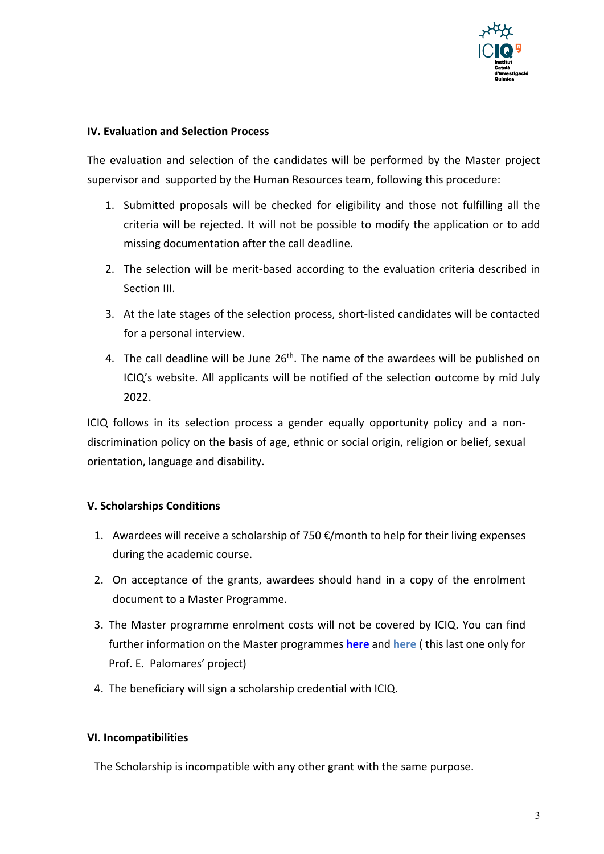

## **IV. Evaluation and Selection Process**

The evaluation and selection of the candidates will be performed by the Master project supervisor and supported by the Human Resources team, following this procedure:

- 1. Submitted proposals will be checked for eligibility and those not fulfilling all the criteria will be rejected. It will not be possible to modify the application or to add missing documentation after the call deadline.
- 2. The selection will be merit-based according to the evaluation criteria described in Section III.
- 3. At the late stages of the selection process, short-listed candidates will be contacted for a personal interview.
- 4. The call deadline will be June  $26<sup>th</sup>$ . The name of the awardees will be published on ICIQ's website. All applicants will be notified of the selection outcome by mid July 2022.

ICIQ follows in its selection process a gender equally opportunity policy and a nondiscrimination policy on the basis of age, ethnic or social origin, religion or belief, sexual orientation, language and disability.

#### **V. Scholarships Conditions**

- 1. Awardees will receive a scholarship of 750  $\epsilon$ /month to help for their living expenses during the academic course.
- 2. On acceptance of the grants, awardees should hand in a copy of the enrolment document to a Master Programme.
- 3. The Master programme enrolment costs will not be covered by ICIQ. You can find further information on the Master programmes **here** and **here** ( this last one only for Prof. E. Palomares' project)
- 4. The beneficiary will sign a scholarship credential with ICIQ.

#### **VI. Incompatibilities**

The Scholarship is incompatible with any other grant with the same purpose.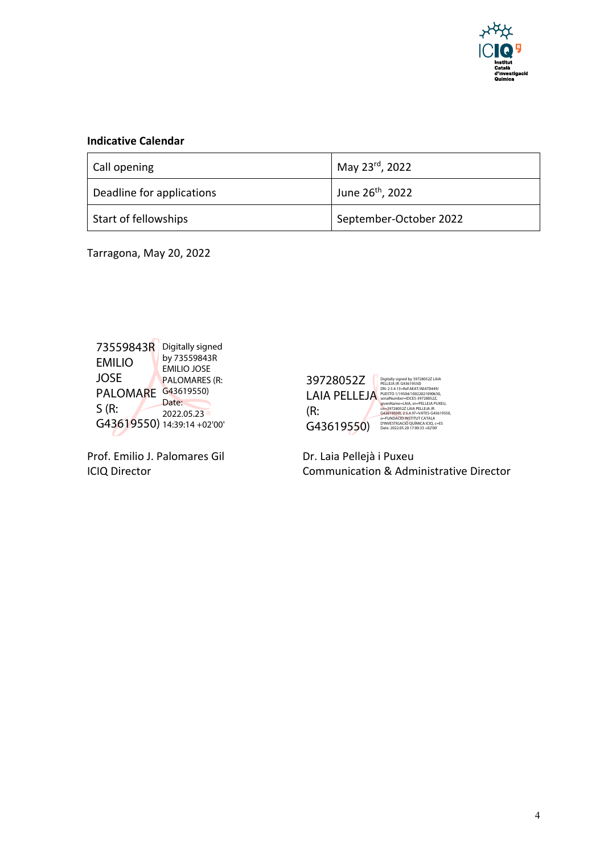

# **Indicative Calendar**

| Call opening              | May 23rd, 2022               |
|---------------------------|------------------------------|
| Deadline for applications | June 26 <sup>th</sup> , 2022 |
| Start of fellowships      | September-October 2022       |

Tarragona, May 20, 2022



Prof. Emilio J. Palomares Gil Dr. Laia Pellejà i Puxeu



ICIQ Director Communication & Administrative Director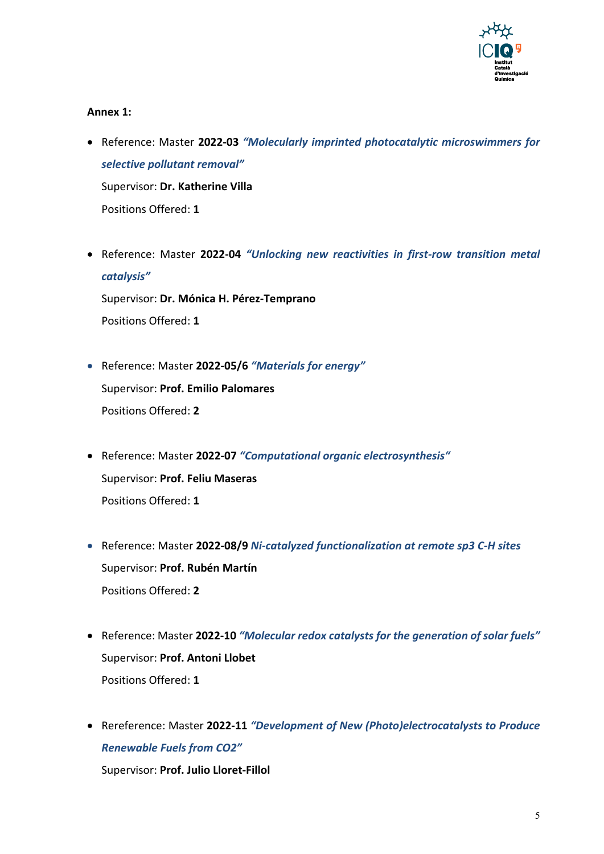

#### **Annex 1:**

- Reference: Master **2022-03** *"Molecularly imprinted photocatalytic microswimmers for selective pollutant removal"* Supervisor: **Dr. Katherine Villa** Positions Offered: **1**
- Reference: Master **2022-04** *"Unlocking new reactivities in first-row transition metal catalysis"* Supervisor: **Dr. Mónica H. Pérez-Temprano** Positions Offered: **1**
- Reference: Master **2022-05/6** *"Materials for energy"* Supervisor: **Prof. Emilio Palomares** Positions Offered: **2**
- Reference: Master **2022-07** *"Computational organic electrosynthesis"* Supervisor: **Prof. Feliu Maseras** Positions Offered: **1**
- Reference: Master **2022-08/9** *Ni-catalyzed functionalization at remote sp3 C-H sites* Supervisor: **Prof. Rubén Martín** Positions Offered: **2**
- Reference: Master **2022-10** *"Molecular redox catalysts for the generation of solar fuels"* Supervisor: **Prof. Antoni Llobet** Positions Offered: **1**
- Rereference: Master **2022-11** *"Development of New (Photo)electrocatalysts to Produce Renewable Fuels from CO2"* Supervisor: **Prof. Julio Lloret-Fillol**